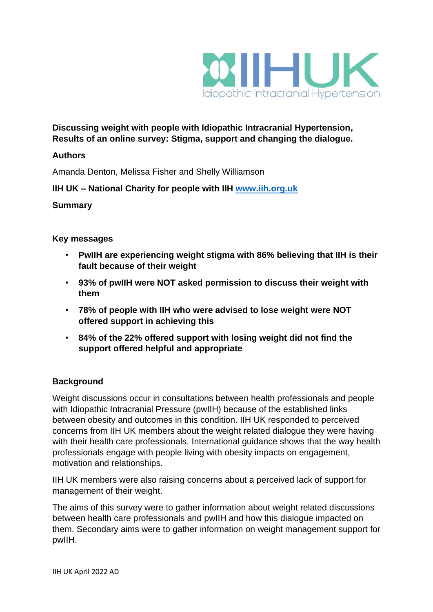

**Discussing weight with people with Idiopathic Intracranial Hypertension, Results of an online survey: Stigma, support and changing the dialogue.** 

#### **Authors**

Amanda Denton, Melissa Fisher and Shelly Williamson

## **IIH UK – National Charity for people with IIH [www.iih.org.uk](http://www.iih.org.uk/)**

#### **Summary**

#### **Key messages**

- **PwIIH are experiencing weight stigma with 86% believing that IIH is their fault because of their weight**
- **93% of pwIIH were NOT asked permission to discuss their weight with them**
- **78% of people with IIH who were advised to lose weight were NOT offered support in achieving this**
- **84% of the 22% offered support with losing weight did not find the support offered helpful and appropriate**

#### **Background**

Weight discussions occur in consultations between health professionals and people with Idiopathic Intracranial Pressure (pwIIH) because of the established links between obesity and outcomes in this condition. IIH UK responded to perceived concerns from IIH UK members about the weight related dialogue they were having with their health care professionals. International guidance shows that the way health professionals engage with people living with obesity impacts on engagement, motivation and relationships.

IIH UK members were also raising concerns about a perceived lack of support for management of their weight.

The aims of this survey were to gather information about weight related discussions between health care professionals and pwIIH and how this dialogue impacted on them. Secondary aims were to gather information on weight management support for pwIIH.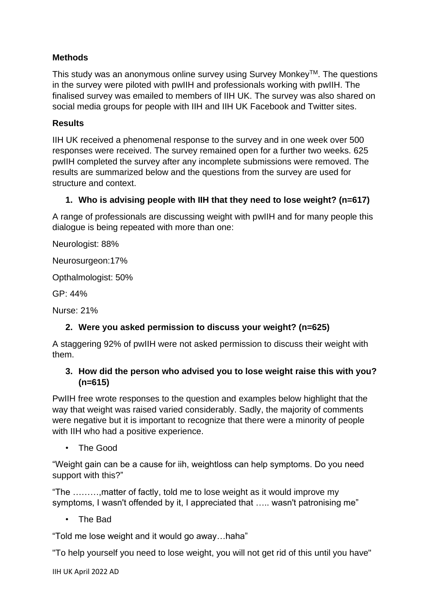# **Methods**

This study was an anonymous online survey using Survey Monkey™. The questions in the survey were piloted with pwIIH and professionals working with pwIIH. The finalised survey was emailed to members of IIH UK. The survey was also shared on social media groups for people with IIH and IIH UK Facebook and Twitter sites.

## **Results**

IIH UK received a phenomenal response to the survey and in one week over 500 responses were received. The survey remained open for a further two weeks. 625 pwIIH completed the survey after any incomplete submissions were removed. The results are summarized below and the questions from the survey are used for structure and context.

## **1. Who is advising people with IIH that they need to lose weight? (n=617)**

A range of professionals are discussing weight with pwIIH and for many people this dialogue is being repeated with more than one:

Neurologist: 88%

Neurosurgeon:17%

Opthalmologist: 50%

GP: 44%

Nurse: 21%

## **2. Were you asked permission to discuss your weight? (n=625)**

A staggering 92% of pwIIH were not asked permission to discuss their weight with them.

## **3. How did the person who advised you to lose weight raise this with you? (n=615)**

PwIIH free wrote responses to the question and examples below highlight that the way that weight was raised varied considerably. Sadly, the majority of comments were negative but it is important to recognize that there were a minority of people with IIH who had a positive experience.

• The Good

"Weight gain can be a cause for iih, weightloss can help symptoms. Do you need support with this?"

"The ………,matter of factly, told me to lose weight as it would improve my symptoms, I wasn't offended by it, I appreciated that ….. wasn't patronising me"

• The Bad

"Told me lose weight and it would go away…haha"

"To help yourself you need to lose weight, you will not get rid of this until you have"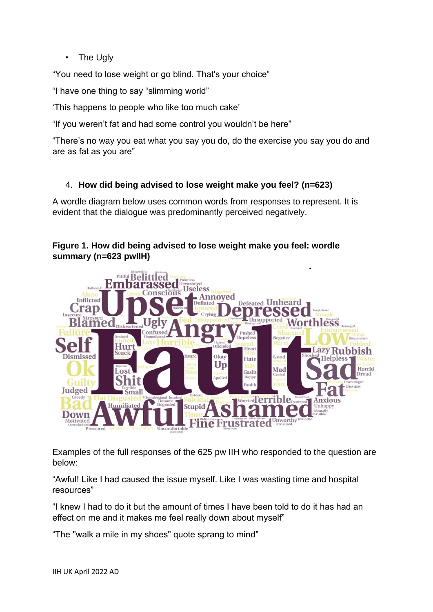• The Ugly

"You need to lose weight or go blind. That's your choice"

"I have one thing to say "slimming world"

'This happens to people who like too much cake'

"If you weren't fat and had some control you wouldn't be here"

"There's no way you eat what you say you do, do the exercise you say you do and are as fat as you are"

# 4. **How did being advised to lose weight make you feel? (n=623)**

A wordle diagram below uses common words from responses to represent. It is evident that the dialogue was predominantly perceived negatively.

## **Figure 1. How did being advised to lose weight make you feel: wordle summary (n=623 pwIIH)**



Examples of the full responses of the 625 pw IIH who responded to the question are below:

"Awful! Like I had caused the issue myself. Like I was wasting time and hospital resources"

"I knew I had to do it but the amount of times I have been told to do it has had an effect on me and it makes me feel really down about myself"

"The "walk a mile in my shoes" quote sprang to mind"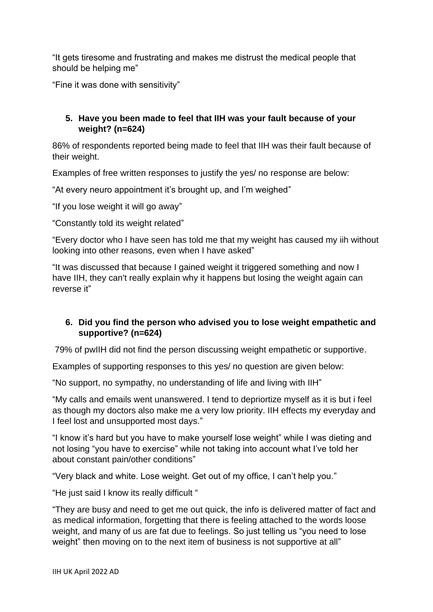"It gets tiresome and frustrating and makes me distrust the medical people that should be helping me"

"Fine it was done with sensitivity"

## **5. Have you been made to feel that IIH was your fault because of your weight? (n=624)**

86% of respondents reported being made to feel that IIH was their fault because of their weight.

Examples of free written responses to justify the yes/ no response are below:

"At every neuro appointment it's brought up, and I'm weighed"

"If you lose weight it will go away"

"Constantly told its weight related"

"Every doctor who I have seen has told me that my weight has caused my iih without looking into other reasons, even when I have asked"

"It was discussed that because I gained weight it triggered something and now I have IIH, they can't really explain why it happens but losing the weight again can reverse it"

## **6. Did you find the person who advised you to lose weight empathetic and supportive? (n=624)**

79% of pwIIH did not find the person discussing weight empathetic or supportive.

Examples of supporting responses to this yes/ no question are given below:

"No support, no sympathy, no understanding of life and living with IIH"

"My calls and emails went unanswered. I tend to depriortize myself as it is but i feel as though my doctors also make me a very low priority. IIH effects my everyday and I feel lost and unsupported most days."

"I know it's hard but you have to make yourself lose weight" while I was dieting and not losing "you have to exercise" while not taking into account what I've told her about constant pain/other conditions"

"Very black and white. Lose weight. Get out of my office, I can't help you."

"He just said I know its really difficult "

"They are busy and need to get me out quick, the info is delivered matter of fact and as medical information, forgetting that there is feeling attached to the words loose weight, and many of us are fat due to feelings. So just telling us "you need to lose weight" then moving on to the next item of business is not supportive at all"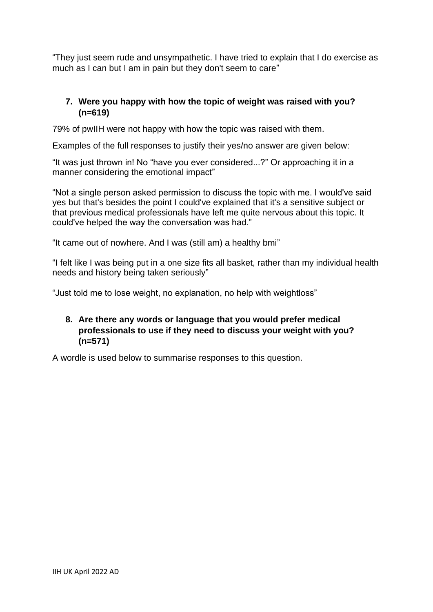"They just seem rude and unsympathetic. I have tried to explain that I do exercise as much as I can but I am in pain but they don't seem to care"

# **7. Were you happy with how the topic of weight was raised with you? (n=619)**

79% of pwIIH were not happy with how the topic was raised with them.

Examples of the full responses to justify their yes/no answer are given below:

"It was just thrown in! No "have you ever considered...?" Or approaching it in a manner considering the emotional impact"

"Not a single person asked permission to discuss the topic with me. I would've said yes but that's besides the point I could've explained that it's a sensitive subject or that previous medical professionals have left me quite nervous about this topic. It could've helped the way the conversation was had."

"It came out of nowhere. And I was (still am) a healthy bmi"

"I felt like I was being put in a one size fits all basket, rather than my individual health needs and history being taken seriously"

"Just told me to lose weight, no explanation, no help with weightloss"

#### **8. Are there any words or language that you would prefer medical professionals to use if they need to discuss your weight with you? (n=571)**

A wordle is used below to summarise responses to this question.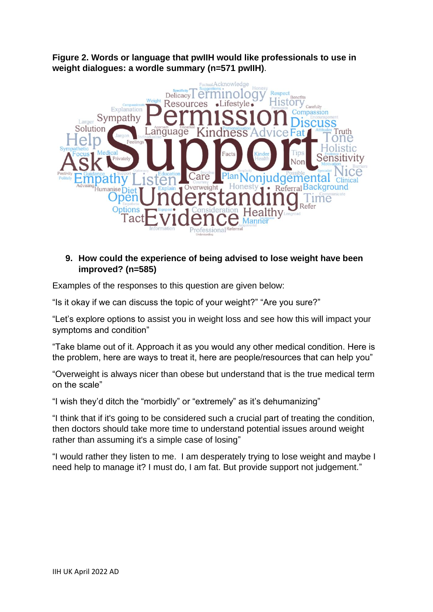**Figure 2. Words or language that pwIIH would like professionals to use in weight dialogues: a wordle summary (n=571 pwIIH)**.



## **9. How could the experience of being advised to lose weight have been improved? (n=585)**

Examples of the responses to this question are given below:

"Is it okay if we can discuss the topic of your weight?" "Are you sure?"

"Let's explore options to assist you in weight loss and see how this will impact your symptoms and condition"

"Take blame out of it. Approach it as you would any other medical condition. Here is the problem, here are ways to treat it, here are people/resources that can help you"

"Overweight is always nicer than obese but understand that is the true medical term on the scale"

"I wish they'd ditch the "morbidly" or "extremely" as it's dehumanizing"

"I think that if it's going to be considered such a crucial part of treating the condition, then doctors should take more time to understand potential issues around weight rather than assuming it's a simple case of losing"

"I would rather they listen to me. I am desperately trying to lose weight and maybe I need help to manage it? I must do, I am fat. But provide support not judgement."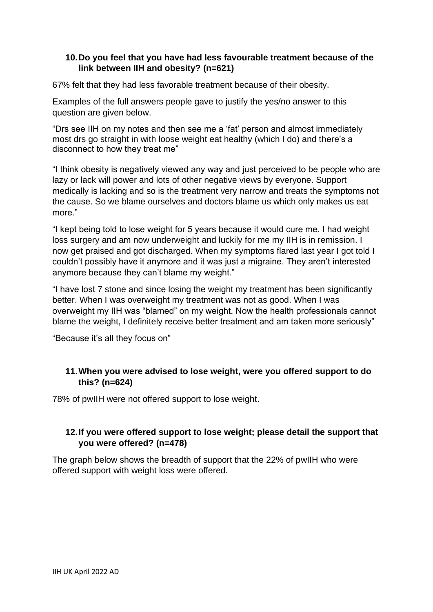#### **10.Do you feel that you have had less favourable treatment because of the link between IIH and obesity? (n=621)**

67% felt that they had less favorable treatment because of their obesity.

Examples of the full answers people gave to justify the yes/no answer to this question are given below.

"Drs see IIH on my notes and then see me a 'fat' person and almost immediately most drs go straight in with loose weight eat healthy (which I do) and there's a disconnect to how they treat me"

"I think obesity is negatively viewed any way and just perceived to be people who are lazy or lack will power and lots of other negative views by everyone. Support medically is lacking and so is the treatment very narrow and treats the symptoms not the cause. So we blame ourselves and doctors blame us which only makes us eat more."

"I kept being told to lose weight for 5 years because it would cure me. I had weight loss surgery and am now underweight and luckily for me my IIH is in remission. I now get praised and got discharged. When my symptoms flared last year I got told I couldn't possibly have it anymore and it was just a migraine. They aren't interested anymore because they can't blame my weight."

"I have lost 7 stone and since losing the weight my treatment has been significantly better. When I was overweight my treatment was not as good. When I was overweight my IIH was "blamed" on my weight. Now the health professionals cannot blame the weight, I definitely receive better treatment and am taken more seriously"

"Because it's all they focus on"

#### **11.When you were advised to lose weight, were you offered support to do this? (n=624)**

78% of pwIIH were not offered support to lose weight.

## **12.If you were offered support to lose weight; please detail the support that you were offered? (n=478)**

The graph below shows the breadth of support that the 22% of pwIIH who were offered support with weight loss were offered.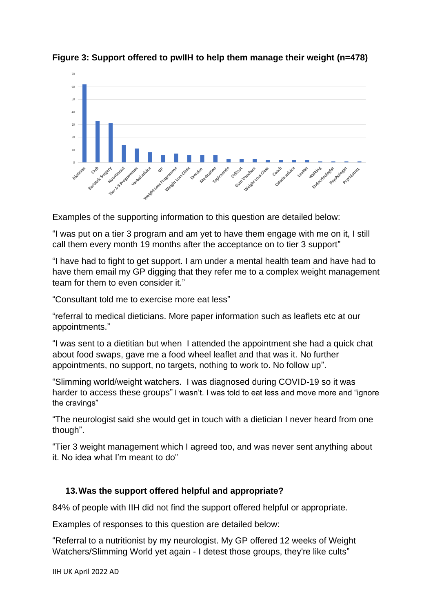

**Figure 3: Support offered to pwIIH to help them manage their weight (n=478)**

Examples of the supporting information to this question are detailed below:

"I was put on a tier 3 program and am yet to have them engage with me on it, I still call them every month 19 months after the acceptance on to tier 3 support"

"I have had to fight to get support. I am under a mental health team and have had to have them email my GP digging that they refer me to a complex weight management team for them to even consider it."

"Consultant told me to exercise more eat less"

"referral to medical dieticians. More paper information such as leaflets etc at our appointments."

"I was sent to a dietitian but when I attended the appointment she had a quick chat about food swaps, gave me a food wheel leaflet and that was it. No further appointments, no support, no targets, nothing to work to. No follow up".

"Slimming world/weight watchers. I was diagnosed during COVID-19 so it was harder to access these groups" I wasn't. I was told to eat less and move more and "ignore the cravings"

"The neurologist said she would get in touch with a dietician I never heard from one though".

"Tier 3 weight management which I agreed too, and was never sent anything about it. No idea what I'm meant to do"

## **13.Was the support offered helpful and appropriate?**

84% of people with IIH did not find the support offered helpful or appropriate.

Examples of responses to this question are detailed below:

"Referral to a nutritionist by my neurologist. My GP offered 12 weeks of Weight Watchers/Slimming World yet again - I detest those groups, they're like cults"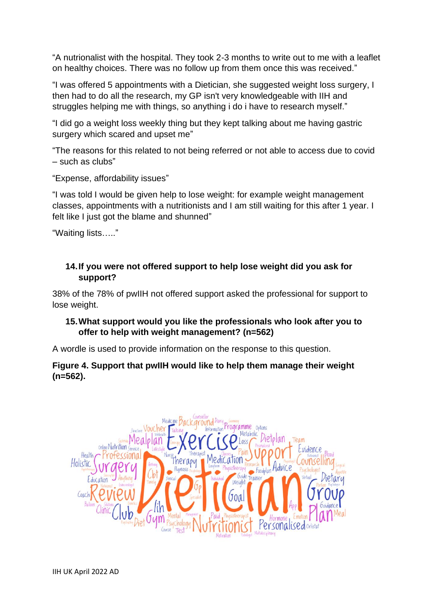"A nutrionalist with the hospital. They took 2-3 months to write out to me with a leaflet on healthy choices. There was no follow up from them once this was received."

"I was offered 5 appointments with a Dietician, she suggested weight loss surgery, I then had to do all the research, my GP isn't very knowledgeable with IIH and struggles helping me with things, so anything i do i have to research myself."

"I did go a weight loss weekly thing but they kept talking about me having gastric surgery which scared and upset me"

"The reasons for this related to not being referred or not able to access due to covid – such as clubs"

"Expense, affordability issues"

"I was told I would be given help to lose weight: for example weight management classes, appointments with a nutritionists and I am still waiting for this after 1 year. I felt like I just got the blame and shunned"

"Waiting lists….."

## **14.If you were not offered support to help lose weight did you ask for support?**

38% of the 78% of pwIIH not offered support asked the professional for support to lose weight.

## **15.What support would you like the professionals who look after you to offer to help with weight management? (n=562)**

A wordle is used to provide information on the response to this question.

## **Figure 4. Support that pwIIH would like to help them manage their weight (n=562).**

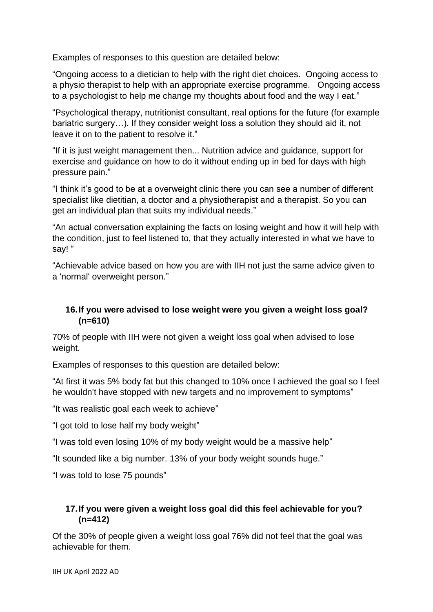Examples of responses to this question are detailed below:

"Ongoing access to a dietician to help with the right diet choices. Ongoing access to a physio therapist to help with an appropriate exercise programme. Ongoing access to a psychologist to help me change my thoughts about food and the way I eat."

"Psychological therapy, nutritionist consultant, real options for the future (for example bariatric surgery…). If they consider weight loss a solution they should aid it, not leave it on to the patient to resolve it."

"If it is just weight management then... Nutrition advice and guidance, support for exercise and guidance on how to do it without ending up in bed for days with high pressure pain."

"I think it's good to be at a overweight clinic there you can see a number of different specialist like dietitian, a doctor and a physiotherapist and a therapist. So you can get an individual plan that suits my individual needs."

"An actual conversation explaining the facts on losing weight and how it will help with the condition, just to feel listened to, that they actually interested in what we have to say! "

"Achievable advice based on how you are with IIH not just the same advice given to a 'normal' overweight person."

## **16.If you were advised to lose weight were you given a weight loss goal? (n=610)**

70% of people with IIH were not given a weight loss goal when advised to lose weight.

Examples of responses to this question are detailed below:

"At first it was 5% body fat but this changed to 10% once I achieved the goal so I feel he wouldn't have stopped with new targets and no improvement to symptoms"

"It was realistic goal each week to achieve"

"I got told to lose half my body weight"

"I was told even losing 10% of my body weight would be a massive help"

"It sounded like a big number, 13% of your body weight sounds huge."

"I was told to lose 75 pounds"

# **17.If you were given a weight loss goal did this feel achievable for you? (n=412)**

Of the 30% of people given a weight loss goal 76% did not feel that the goal was achievable for them.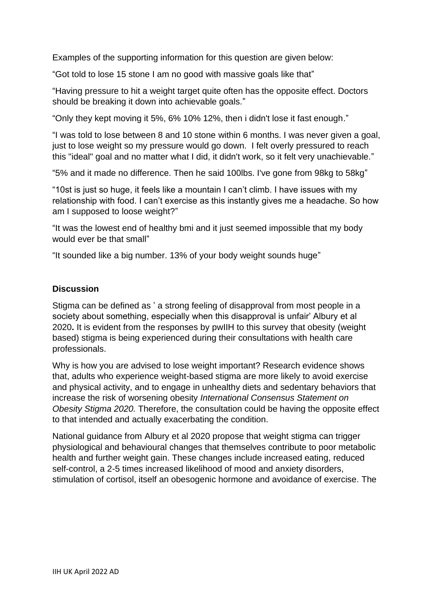Examples of the supporting information for this question are given below:

"Got told to lose 15 stone I am no good with massive goals like that"

"Having pressure to hit a weight target quite often has the opposite effect. Doctors should be breaking it down into achievable goals."

"Only they kept moving it 5%, 6% 10% 12%, then i didn't lose it fast enough."

"I was told to lose between 8 and 10 stone within 6 months. I was never given a goal, just to lose weight so my pressure would go down. I felt overly pressured to reach this "ideal" goal and no matter what I did, it didn't work, so it felt very unachievable."

"5% and it made no difference. Then he said 100lbs. I've gone from 98kg to 58kg"

"10st is just so huge, it feels like a mountain I can't climb. I have issues with my relationship with food. I can't exercise as this instantly gives me a headache. So how am I supposed to loose weight?"

"It was the lowest end of healthy bmi and it just seemed impossible that my body would ever be that small"

"It sounded like a big number. 13% of your body weight sounds huge"

#### **Discussion**

Stigma can be defined as ' a strong feeling of disapproval from most people in a society about something, especially when this disapproval is unfair' Albury et al 2020**.** It is evident from the responses by pwIIH to this survey that obesity (weight based) stigma is being experienced during their consultations with health care professionals.

Why is how you are advised to lose weight important? Research evidence shows that, adults who experience weight-based stigma are more likely to avoid exercise and physical activity, and to engage in unhealthy diets and sedentary behaviors that increase the risk of worsening obesity *International Consensus Statement on Obesity Stigma 2020.* Therefore, the consultation could be having the opposite effect to that intended and actually exacerbating the condition.

National guidance from Albury et al 2020 propose that weight stigma can trigger physiological and behavioural changes that themselves contribute to poor metabolic health and further weight gain. These changes include increased eating, reduced self-control, a 2-5 times increased likelihood of mood and anxiety disorders, stimulation of cortisol, itself an obesogenic hormone and avoidance of exercise. The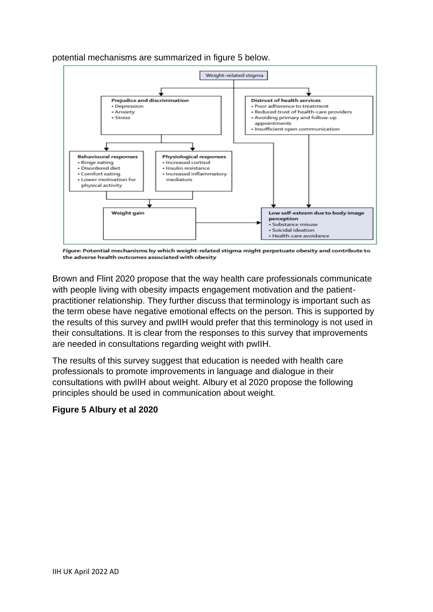potential mechanisms are summarized in figure 5 below.



Figure: Potential mechanisms by which weight-related stigma might perpetuate obesity and contribute to the adverse health outcomes associated with obesity

Brown and Flint 2020 propose that the way health care professionals communicate with people living with obesity impacts engagement motivation and the patientpractitioner relationship. They further discuss that terminology is important such as the term obese have negative emotional effects on the person. This is supported by the results of this survey and pwIIH would prefer that this terminology is not used in their consultations. It is clear from the responses to this survey that improvements are needed in consultations regarding weight with pwIIH.

The results of this survey suggest that education is needed with health care professionals to promote improvements in language and dialogue in their consultations with pwIIH about weight. Albury et al 2020 propose the following principles should be used in communication about weight.

## **Figure 5 Albury et al 2020**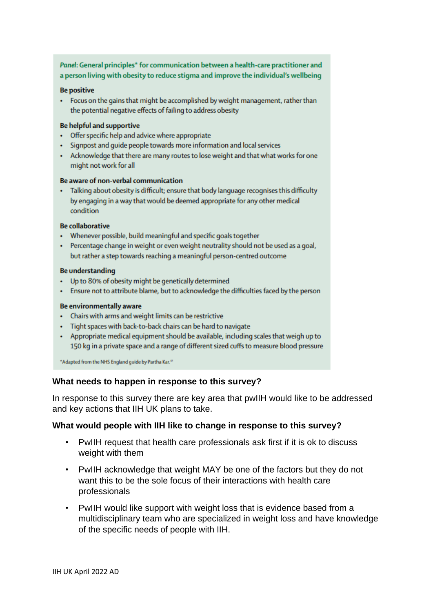#### Panel: General principles\* for communication between a health-care practitioner and a person living with obesity to reduce stigma and improve the individual's wellbeing

#### **Be positive**

• Focus on the gains that might be accomplished by weight management, rather than the potential negative effects of failing to address obesity

#### **Be helpful and supportive**

- Offer specific help and advice where appropriate
- · Signpost and quide people towards more information and local services
- . Acknowledge that there are many routes to lose weight and that what works for one might not work for all

#### Be aware of non-verbal communication

· Talking about obesity is difficult; ensure that body language recognises this difficulty by engaging in a way that would be deemed appropriate for any other medical condition

#### **Be collaborative**

- Whenever possible, build meaningful and specific goals together
- Percentage change in weight or even weight neutrality should not be used as a goal, but rather a step towards reaching a meaningful person-centred outcome

#### **Be understanding**

- Up to 80% of obesity might be genetically determined
- . Ensure not to attribute blame, but to acknowledge the difficulties faced by the person

#### Be environmentally aware

- Chairs with arms and weight limits can be restrictive
- Tight spaces with back-to-back chairs can be hard to navigate
- Appropriate medical equipment should be available, including scales that weigh up to 150 kg in a private space and a range of different sized cuffs to measure blood pressure

\*Adapted from the NHS England guide by Partha Kar.<sup>47</sup>

#### **What needs to happen in response to this survey?**

In response to this survey there are key area that pwIIH would like to be addressed and key actions that IIH UK plans to take.

#### **What would people with IIH like to change in response to this survey?**

- PwIIH request that health care professionals ask first if it is ok to discuss weight with them
- PwIIH acknowledge that weight MAY be one of the factors but they do not want this to be the sole focus of their interactions with health care professionals
- PwIIH would like support with weight loss that is evidence based from a multidisciplinary team who are specialized in weight loss and have knowledge of the specific needs of people with IIH.